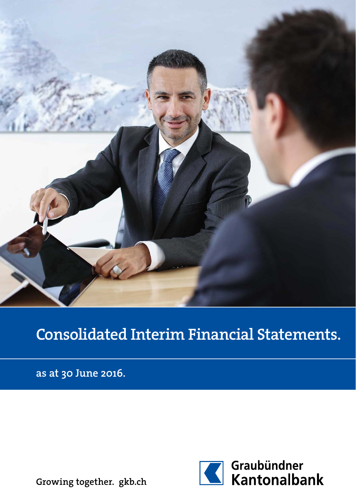

# Consolidated Interim Financial Statements.

as at 30 June 2016.



Growing together. gkb.ch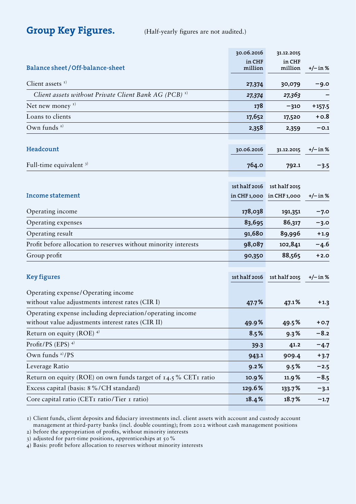Group Key Figures. (Half-yearly figures are not audited.)

|                                                                   | 30.06.2016    | 31.12.2015                |          |
|-------------------------------------------------------------------|---------------|---------------------------|----------|
|                                                                   | in CHF        | in CHF                    |          |
| Balance sheet/Off-balance-sheet                                   | million       | million                   | +/– in % |
| Client assets $I$                                                 | 27,374        | 30,079                    | $-9.0$   |
| Client assets without Private Client Bank AG (PCB) <sup>1)</sup>  | 27,374        | 27,363                    |          |
| Net new money <sup>1)</sup>                                       | 178           | -310                      | $+157.5$ |
| Loans to clients                                                  | 17,652        | 17,520                    | +0.8     |
| Own funds $2$                                                     | 2,358         | 2,359                     | $-0.1$   |
| Headcount                                                         | 30.06.2016    | 31.12.2015                | +/– in % |
| Full-time equivalent $3$                                          | 764.0         | 792.1                     | $-3.5$   |
|                                                                   |               |                           |          |
|                                                                   | 1st half 2016 | 1st half 2015             |          |
| Income statement                                                  |               | in CHF 1,000 in CHF 1,000 | +/– in % |
| Operating income                                                  | 178,038       | 191,351                   | -7.0     |
| Operating expenses                                                | 83,695        | 86,317                    | $-3.0$   |
| Operating result                                                  | 91,680        | 89,996                    | $+1.9$   |
| Profit before allocation to reserves without minority interests   | 98,087        | 102,841                   | $-4.6$   |
| Group profit                                                      | 90,350        | 88,565                    | $+2.0$   |
| <b>Key figures</b>                                                | 1st half 2016 | 1st half 2015             | +/– in % |
| Operating expense/Operating income                                |               |                           |          |
| without value adjustments interest rates (CIR I)                  | 47.7%         | 47.1%                     | $+1.3$   |
| Operating expense including depreciation/operating income         |               |                           |          |
| without value adjustments interest rates (CIR II)                 | 49.9%         | 49.5%                     | $+0.7$   |
| Return on equity (ROE) <sup>4)</sup>                              | 8.5%          | 9.3%                      | $-8.2$   |
| Profit/PS (EPS) $4$ )                                             | 39.3          | 41.2                      | $-4.7$   |
| Own funds $^{21}/PS$                                              | 943.1         | 909.4                     | +3.7     |
| Leverage Ratio                                                    | 9.2%          | 9.5%                      | $-2.5$   |
| Return on equity (ROE) on own funds target of $14.5\%$ CETI ratio | 10.9%         | 11.9%                     | -8.5     |
| Excess capital (basis: 8%/CH standard)                            | 129.6%        | 133.7%                    | $-3.1$   |
| Core capital ratio (CET1 ratio/Tier 1 ratio)                      | 18.4%         | 18.7%                     | $-1.7$   |
|                                                                   |               |                           |          |

1) Client funds, client deposits and fiduciary investments incl. client assets with account and custody account management at third-party banks (incl. double counting); from 2012 without cash management positions

2) before the appropriation of profits, without minority interests

3) adjusted for part-time positions, apprenticeships at 50%

4) Basis: profit before allocation to reserves without minority interests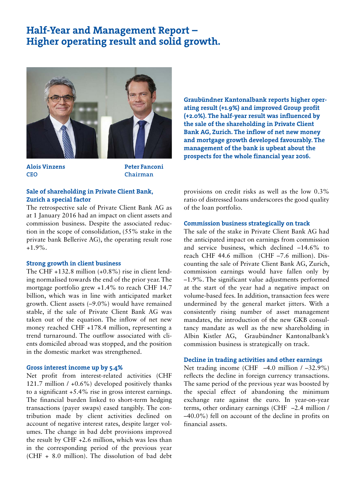### Half-Year and Management Report – Higher operating result and solid growth.



Alois Vinzens CEO

Peter Fanconi Chairman

#### Sale of shareholding in Private Client Bank, Zurich a special factor

The retrospective sale of Private Client Bank AG as at 1 January 2016 had an impact on client assets and commission business. Despite the associated reduction in the scope of consolidation, (55% stake in the private bank Bellerive AG), the operating result rose +1.9%.

#### Strong growth in client business

The CHF +132.8 million (+0.8%) rise in client lending normalised towards the end of the prior year. The mortgage portfolio grew +1.4% to reach CHF 14.7 billion, which was in line with anticipated market growth. Client assets (–9.0%) would have remained stable, if the sale of Private Client Bank AG was taken out of the equation. The inflow of net new money reached CHF +178.4 million, representing a trend turnaround. The outflow associated with clients domiciled abroad was stopped, and the position in the domestic market was strengthened.

#### Gross interest income up by 5.4%

Net profit from interest-related activities (CHF 121.7 million / +0.6%) developed positively thanks to a significant +5.4% rise in gross interest earnings. The financial burden linked to short-term hedging transactions (payer swaps) eased tangibly. The contribution made by client activities declined on account of negative interest rates, despite larger volumes. The change in bad debt provisions improved the result by CHF +2.6 million, which was less than in the corresponding period of the previous year (CHF + 8.0 million). The dissolution of bad debt Graubündner Kantonalbank reports higher operating result (+1.9%) and improved Group profit (+2.0%). The half-year result was influenced by the sale of the shareholding in Private Client Bank AG, Zurich. The inflow of net new money and mortgage growth developed favourably. The management of the bank is upbeat about the prospects for the whole financial year 2016.

provisions on credit risks as well as the low 0.3% ratio of distressed loans underscores the good quality of the loan portfolio.

#### Commission business strategically on track

The sale of the stake in Private Client Bank AG had the anticipated impact on earnings from commission and service business, which declined –14.6% to reach CHF 44.6 million (CHF –7.6 million). Discounting the sale of Private Client Bank AG, Zurich, commission earnings would have fallen only by –1.9%. The significant value adjustments performed at the start of the year had a negative impact on volume-based fees. In addition, transaction fees were undermined by the general market jitters. With a consistently rising number of asset management mandates, the introduction of the new GKB consultancy mandate as well as the new shareholding in Albin Kistler AG, Graubündner Kantonalbank's commission business is strategically on track.

#### Decline in trading activities and other earnings

Net trading income (CHF –4.0 million / –32.9%) reflects the decline in foreign currency transactions. The same period of the previous year was boosted by the special effect of abandoning the minimum exchange rate against the euro. In year-on-year terms, other ordinary earnings (CHF –2.4 million / –40.0%) fell on account of the decline in profits on financial assets.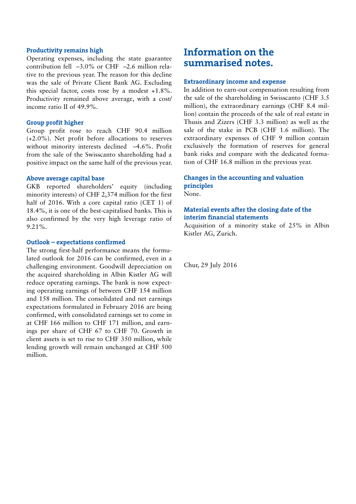#### Productivity remains high

Operating expenses, including the state guarantee contribution fell –3.0% or CHF –2.6 million relative to the previous year. The reason for this decline was the sale of Private Client Bank AG. Excluding this special factor, costs rose by a modest +1.8%. Productivity remained above average, with a cost/ income ratio II of 49.9%.

#### Group profit higher

Group profit rose to reach CHF 90.4 million (+2.0%). Net profit before allocations to reserves without minority interests declined –4.6%. Profit from the sale of the Swisscanto shareholding had a positive impact on the same half of the previous year.

#### Above average capital base

GKB reported shareholders' equity (including minority interests) of CHF 2,374 million for the first half of 2016. With a core capital ratio (CET 1) of 18.4%, it is one of the best-capitalised banks. This is also confirmed by the very high leverage ratio of 9.21%.

#### Outlook – expectations confirmed

The strong first-half performance means the formulated outlook for 2016 can be confirmed, even in a challenging environment. Goodwill depreciation on the acquired shareholding in Albin Kistler AG will reduce operating earnings. The bank is now expecting operating earnings of between CHF 154 million and 158 million. The consolidated and net earnings expectations formulated in February 2016 are being confirmed, with consolidated earnings set to come in at CHF 166 million to CHF 171 million, and earnings per share of CHF 67 to CHF 70. Growth in client assets is set to rise to CHF 350 million, while lending growth will remain unchanged at CHF 500 million.

### Information on the summarised notes.

#### Extraordinary income and expense

In addition to earn-out compensation resulting from the sale of the shareholding in Swisscanto (CHF 3.5 million), the extraordinary earnings (CHF 8.4 million) contain the proceeds of the sale of real estate in Thusis and Zizers (CHF 3.3 million) as well as the sale of the stake in PCB (CHF 1.6 million). The extraordinary expenses of CHF 9 million contain exclusively the formation of reserves for general bank risks and compare with the dedicated formation of CHF 16.8 million in the previous year.

#### Changes in the accounting and valuation principles

None.

#### Material events after the closing date of the interim financial statements

Acquisition of a minority stake of 25% in Albin Kistler AG, Zurich.

Chur, 29 July 2016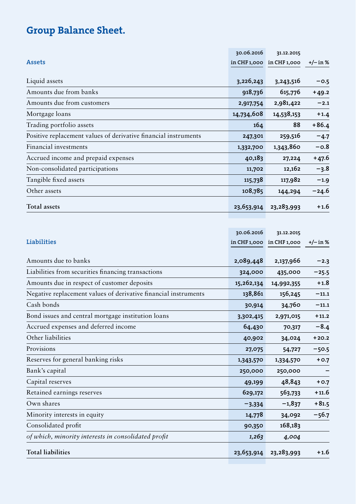# Group Balance Sheet.

|                                                                 | 30.06.2016   | 31.12.2015   |            |
|-----------------------------------------------------------------|--------------|--------------|------------|
| <b>Assets</b>                                                   | in CHF 1,000 | in CHF 1,000 | $+/-$ in % |
|                                                                 |              |              |            |
| Liquid assets                                                   | 3,226,243    | 3,243,516    | $-0.5$     |
| Amounts due from banks                                          | 918,736      | 615,776      | $+49.2$    |
| Amounts due from customers                                      | 2,917,754    | 2,981,422    | $-2.1$     |
| Mortgage loans                                                  | 14,734,608   | 14,538,153   | $+1.4$     |
| Trading portfolio assets                                        | 164          | 88           | $+86.4$    |
| Positive replacement values of derivative financial instruments | 247,301      | 259,516      | $-4.7$     |
| Financial investments                                           | 1,332,700    | 1,343,860    | $-0.8$     |
| Accrued income and prepaid expenses                             | 40,183       | 27,224       | $+47.6$    |
| Non-consolidated participations                                 | 11,702       | 12,162       | $-3.8$     |
| Tangible fixed assets                                           | 115,738      | 117,982      | $-1.9$     |
| Other assets                                                    | 108,785      | 144,294      | $-24.6$    |
| <b>Total assets</b>                                             | 23,653,914   | 23,283,993   | $+1.6$     |

|                                                                 | 30.06.2016 | 31.12.2015                |            |
|-----------------------------------------------------------------|------------|---------------------------|------------|
| Liabilities                                                     |            | in CHF 1,000 in CHF 1,000 | $+/- in %$ |
| Amounts due to banks                                            | 2,089,448  | 2,137,966                 | $-2.3$     |
| Liabilities from securities financing transactions              | 324,000    | 435,000                   | $-25.5$    |
| Amounts due in respect of customer deposits                     | 15,262,134 | 14,992,355                | $+1.8$     |
| Negative replacement values of derivative financial instruments | 138,861    | 156,245                   | $-11.1$    |
| Cash bonds                                                      | 30,914     | 34,760                    | $-11.1$    |
| Bond issues and central mortgage institution loans              | 3,302,415  | 2,971,015                 | $+11.2$    |
| Accrued expenses and deferred income                            | 64,430     | 70,317                    | $-8.4$     |
| Other liabilities                                               | 40,902     | 34,024                    | $+20.2$    |
| Provisions                                                      | 27,075     | 54,727                    | $-50.5$    |
| Reserves for general banking risks                              | 1,343,570  | 1,334,570                 | $+0.7$     |
| Bank's capital                                                  | 250,000    | 250,000                   |            |
| Capital reserves                                                | 49,199     | 48,843                    | $+0.7$     |
| Retained earnings reserves                                      | 629,172    | 563,733                   | $+11.6$    |
| Own shares                                                      | $-3,334$   | $-1,837$                  | $+81.5$    |
| Minority interests in equity                                    | 14,778     | 34,092                    | $-56.7$    |
| Consolidated profit                                             | 90,350     | 168,183                   |            |
| of which, minority interests in consolidated profit             | 1,263      | 4,004                     |            |
| <b>Total liabilities</b>                                        | 23,653,914 | 23,283,993                | $+1.6$     |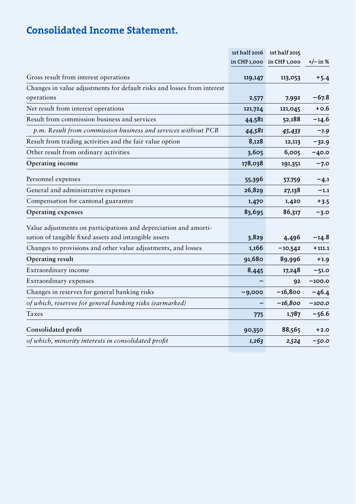## Consolidated Income Statement.

|                                                                         | 1st half 2016 | 1st half 2015             |          |
|-------------------------------------------------------------------------|---------------|---------------------------|----------|
|                                                                         |               | in CHF 1,000 in CHF 1,000 | +/– in % |
| Gross result from interest operations                                   | 119,147       | 113,053                   | $+5.4$   |
| Changes in value adjustments for default risks and losses from interest |               |                           |          |
| operations                                                              | 2,577         | 7,992                     | $-67.8$  |
| Net result from interest operations                                     | 121,724       | 121,045                   | $+0.6$   |
| Result from commission business and services                            | 44,581        | 52,188                    | $-14.6$  |
| p.m. Result from commission business and services without PCB           | 44,581        | 45,433                    | $-1.9$   |
| Result from trading activities and the fair value option                | 8,128         | 12,113                    | $-32.9$  |
| Other result from ordinary activities                                   | 3,605         | 6,005                     | $-40.0$  |
| Operating income                                                        | 178,038       | 191,351                   | $-7.0$   |
| Personnel expenses                                                      | 55,396        | 57,759                    | $-4.1$   |
| General and administrative expenses                                     | 26,829        | 27,138                    | $-1.1$   |
| Compensation for cantonal guarantee                                     | 1,470         | 1,420                     | $+3.5$   |
| Operating expenses                                                      | 83,695        | 86,317                    | $-3.0$   |
| Value adjustments on participations and depreciation and amorti-        |               |                           |          |
| sation of tangible fixed assets and intangible assets                   | 3,829         | 4,496                     | $-14.8$  |
| Changes to provisions and other value adjustments, and losses           | 1,166         | $-10,542$                 | $+111.1$ |
| Operating result                                                        | 91,680        | 89,996                    | $+1.9$   |
| Extraordinary income                                                    | 8,445         | 17,248                    | $-51.0$  |
| Extraordinary expenses                                                  |               | 92                        | $-100.0$ |
| Changes in reserves for general banking risks                           | $-9,000$      | $-16,800$                 | $-46.4$  |
| of which, reserves for general banking risks (earmarked)                |               | $-16,800$                 | $-100.0$ |
| Taxes                                                                   | 775           | 1,787                     | $-56.6$  |
| Consolidated profit                                                     | 90,350        | 88,565                    | $+2.0$   |
| of which, minority interests in consolidated profit                     | 1,263         | 2,524                     | $-50.0$  |
|                                                                         |               |                           |          |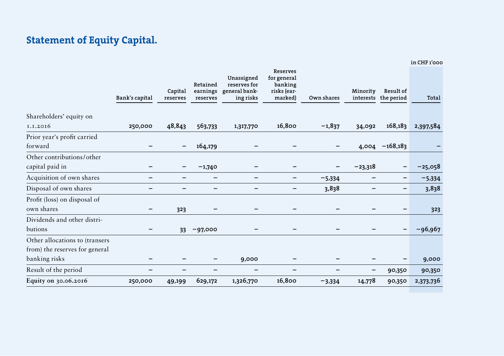### Statement of Equity Capital.

in CHF 1'000

|                                | Bank's capital | Capital<br>reserves | Retained<br>earnings<br>reserves | Unassigned<br>reserves for<br>general bank-<br>ing risks | <b>Reserves</b><br>for general<br>banking<br>risks (ear-<br>marked) | Own shares | Minority  | Result of<br>interests the period | Total     |
|--------------------------------|----------------|---------------------|----------------------------------|----------------------------------------------------------|---------------------------------------------------------------------|------------|-----------|-----------------------------------|-----------|
| Shareholders' equity on        |                |                     |                                  |                                                          |                                                                     |            |           |                                   |           |
| 1.1.2016                       | 250,000        | 48,843              | 563,733                          | 1,317,770                                                | 16,800                                                              | $-1,837$   | 34,092    | 168,183                           | 2,397,584 |
| Prior year's profit carried    |                |                     |                                  |                                                          |                                                                     |            |           |                                   |           |
| forward                        |                |                     | 164,179                          |                                                          |                                                                     |            |           | $4,004 - 168,183$                 |           |
| Other contributions/other      |                |                     |                                  |                                                          |                                                                     |            |           |                                   |           |
| capital paid in                |                | -                   | $-1,740$                         |                                                          |                                                                     |            | $-23,318$ |                                   | $-25,058$ |
| Acquisition of own shares      |                | —                   | -                                | -                                                        |                                                                     | $-5,334$   |           |                                   | $-5,334$  |
| Disposal of own shares         |                |                     | -                                |                                                          |                                                                     | 3,838      |           | -                                 | 3,838     |
| Profit (loss) on disposal of   |                |                     |                                  |                                                          |                                                                     |            |           |                                   |           |
| own shares                     |                | 323                 |                                  |                                                          |                                                                     |            |           |                                   | 323       |
| Dividends and other distri-    |                |                     |                                  |                                                          |                                                                     |            |           |                                   |           |
| butions                        |                | 33                  | $-97,000$                        |                                                          |                                                                     |            |           |                                   | -96,967   |
| Other allocations to (transers |                |                     |                                  |                                                          |                                                                     |            |           |                                   |           |
| from) the reserves for general |                |                     |                                  |                                                          |                                                                     |            |           |                                   |           |
| banking risks                  |                |                     |                                  | 9,000                                                    |                                                                     |            |           |                                   | 9,000     |
| Result of the period           |                |                     |                                  |                                                          |                                                                     |            | -         | 90,350                            | 90,350    |
| Equity on 30.06.2016           | 250,000        | 49,199              | 629,172                          | 1,326,770                                                | 16,800                                                              | $-3,334$   | 14,778    | 90,350                            | 2,373,736 |